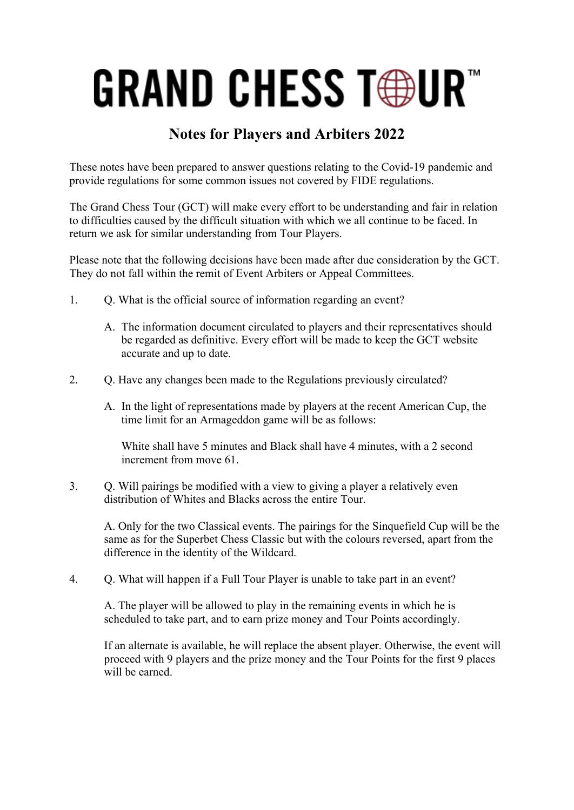## **GRAND CHESS TOUR"**

## **Notes for Players and Arbiters 2022**

These notes have been prepared to answer questions relating to the Covid-19 pandemic and provide regulations for some common issues not covered by FIDE regulations.

The Grand Chess Tour (GCT) will make every effort to be understanding and fair in relation to difficulties caused by the difficult situation with which we all continue to be faced. In return we ask for similar understanding from Tour Players.

Please note that the following decisions have been made after due consideration by the GCT. They do not fall within the remit of Event Arbiters or Appeal Committees.

- 1. Q. What is the official source of information regarding an event?
	- A. The information document circulated to players and their representatives should be regarded as definitive. Every effort will be made to keep the GCT website accurate and up to date.
- 2. O. Have any changes been made to the Regulations previously circulated?
	- A. In the light of representations made by players at the recent American Cup, the time limit for an Armageddon game will be as follows:

White shall have 5 minutes and Black shall have 4 minutes, with a 2 second increment from move 61

3. Q. Will pairings be modified with a view to giving a player a relatively even distribution of Whites and Blacks across the entire Tour.

A. Only for the two Classical events. The pairings for the Sinquefield Cup will be the same as for the Superbet Chess Classic but with the colours reversed, apart from the difference in the identity of the Wildcard.

4. Q. What will happen if a Full Tour Player is unable to take part in an event?

A. The player will be allowed to play in the remaining events in which he is scheduled to take part, and to earn prize money and Tour Points accordingly.

If an alternate is available, he will replace the absent player. Otherwise, the event will proceed with 9 players and the prize money and the Tour Points for the first 9 places will be earned.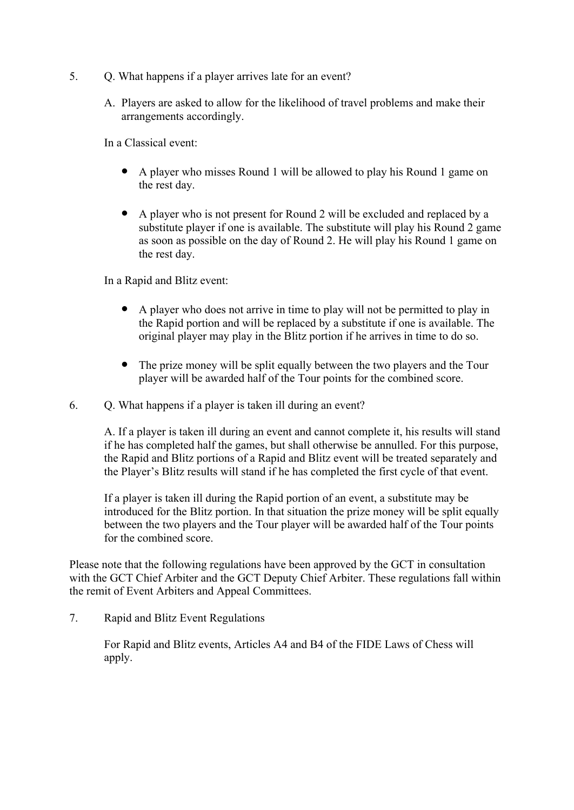- 5. Q. What happens if a player arrives late for an event?
	- A. Players are asked to allow for the likelihood of travel problems and make their arrangements accordingly.

In a Classical event:

- A player who misses Round 1 will be allowed to play his Round 1 game on the rest day.
- A player who is not present for Round 2 will be excluded and replaced by a substitute player if one is available. The substitute will play his Round 2 game as soon as possible on the day of Round 2. He will play his Round 1 game on the rest day.

In a Rapid and Blitz event:

- A player who does not arrive in time to play will not be permitted to play in the Rapid portion and will be replaced by a substitute if one is available. The original player may play in the Blitz portion if he arrives in time to do so.
- The prize money will be split equally between the two players and the Tour player will be awarded half of the Tour points for the combined score.

6. Q. What happens if a player is taken ill during an event?

A. If a player is taken ill during an event and cannot complete it, his results will stand if he has completed half the games, but shall otherwise be annulled. For this purpose, the Rapid and Blitz portions of a Rapid and Blitz event will be treated separately and the Player's Blitz results will stand if he has completed the first cycle of that event.

If a player is taken ill during the Rapid portion of an event, a substitute may be introduced for the Blitz portion. In that situation the prize money will be split equally between the two players and the Tour player will be awarded half of the Tour points for the combined score.

Please note that the following regulations have been approved by the GCT in consultation with the GCT Chief Arbiter and the GCT Deputy Chief Arbiter. These regulations fall within the remit of Event Arbiters and Appeal Committees.

7. Rapid and Blitz Event Regulations

For Rapid and Blitz events, Articles A4 and B4 of the FIDE Laws of Chess will apply.